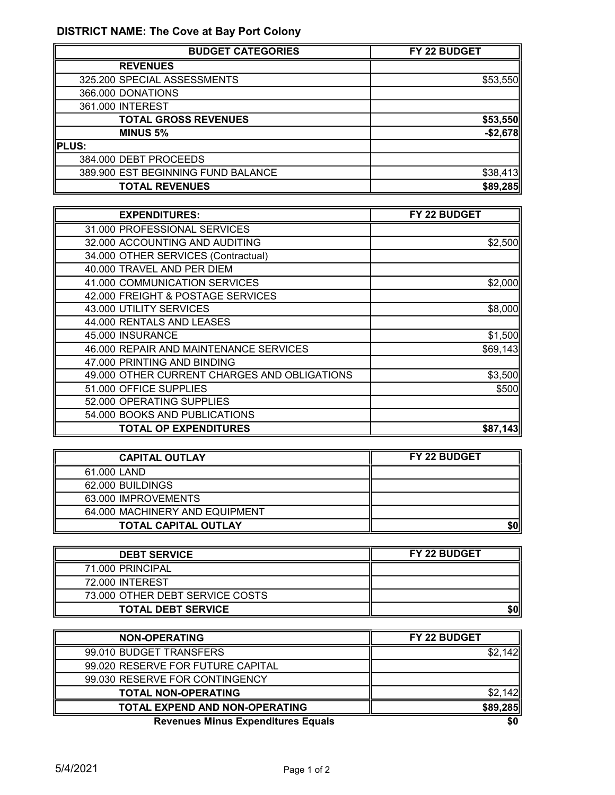## DISTRICT NAME: The Cove at Bay Port Colony

| <b>BUDGET CATEGORIES</b>           | FY 22 BUDGET |
|------------------------------------|--------------|
| <b>REVENUES</b>                    |              |
| 325.200 SPECIAL ASSESSMENTS        | \$53,550     |
| 366.000 DONATIONS                  |              |
| 361.000 INTEREST                   |              |
| <b>TOTAL GROSS REVENUES</b>        | \$53,550     |
| <b>MINUS 5%</b>                    | $-$2,678$    |
| PLUS:                              |              |
| 384.000 DEBT PROCEEDS              |              |
| 389.900 EST BEGINNING FUND BALANCE | \$38,413     |
| <b>TOTAL REVENUES</b>              | \$89,285     |

| <b>EXPENDITURES:</b>                         | FY 22 BUDGET |
|----------------------------------------------|--------------|
| 31.000 PROFESSIONAL SERVICES                 |              |
| 32.000 ACCOUNTING AND AUDITING               | \$2,500      |
| 34.000 OTHER SERVICES (Contractual)          |              |
| 40.000 TRAVEL AND PER DIEM                   |              |
| 41.000 COMMUNICATION SERVICES                | \$2,000      |
| 42.000 FREIGHT & POSTAGE SERVICES            |              |
| 43.000 UTILITY SERVICES                      | \$8,000      |
| 44.000 RENTALS AND LEASES                    |              |
| 45.000 INSURANCE                             | \$1,500      |
| 46.000 REPAIR AND MAINTENANCE SERVICES       | \$69,143     |
| 47.000 PRINTING AND BINDING                  |              |
| 49.000 OTHER CURRENT CHARGES AND OBLIGATIONS | \$3,500      |
| 51.000 OFFICE SUPPLIES                       | \$500        |
| 52.000 OPERATING SUPPLIES                    |              |
| 54.000 BOOKS AND PUBLICATIONS                |              |
| <b>TOTAL OP EXPENDITURES</b>                 | \$87,143     |

| <b>CAPITAL OUTLAY</b>          | <b>FY 22 BUDGET</b> |
|--------------------------------|---------------------|
| 61,000 LAND                    |                     |
| 62,000 BUILDINGS               |                     |
| 63.000 IMPROVEMENTS            |                     |
| 64,000 MACHINERY AND EQUIPMENT |                     |
| <b>TOTAL CAPITAL OUTLAY</b>    |                     |

| <b>DEBT SERVICE</b>             | <b>FY 22 BUDGET</b> |
|---------------------------------|---------------------|
| 71.000 PRINCIPAL                |                     |
| 72.000 INTEREST                 |                     |
| 73.000 OTHER DEBT SERVICE COSTS |                     |
| <b>TOTAL DEBT SERVICE</b>       | 50                  |

| <b>NON-OPERATING</b>                      | FY 22 BUDGET |
|-------------------------------------------|--------------|
| 99.010 BUDGET TRANSFERS                   |              |
| 99.020 RESERVE FOR FUTURE CAPITAL         |              |
| 99.030 RESERVE FOR CONTINGENCY            |              |
| <b>TOTAL NON-OPERATING</b>                |              |
| <b>TOTAL EXPEND AND NON-OPERATING</b>     | \$89,285     |
| <b>Revenues Minus Expenditures Equals</b> | \$0          |